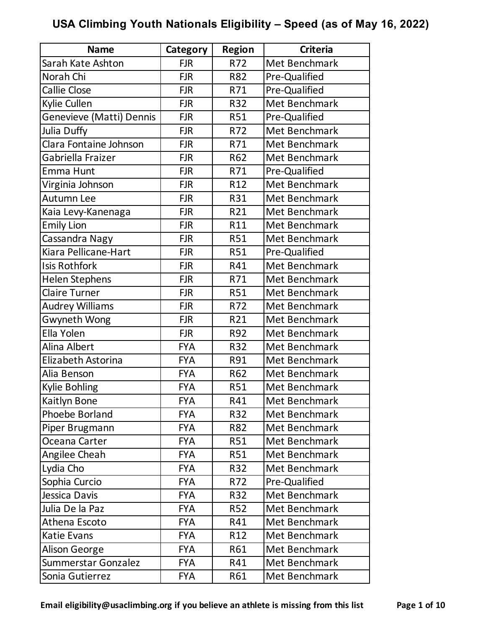| <b>Name</b>              | Category   | <b>Region</b>   | <b>Criteria</b> |
|--------------------------|------------|-----------------|-----------------|
| Sarah Kate Ashton        | <b>FJR</b> | R72             | Met Benchmark   |
| Norah Chi                | <b>FJR</b> | R82             | Pre-Qualified   |
| <b>Callie Close</b>      | <b>FJR</b> | R71             | Pre-Qualified   |
| Kylie Cullen             | <b>FJR</b> | R32             | Met Benchmark   |
| Genevieve (Matti) Dennis | <b>FJR</b> | R51             | Pre-Qualified   |
| Julia Duffy              | <b>FJR</b> | R72             | Met Benchmark   |
| Clara Fontaine Johnson   | <b>FJR</b> | R71             | Met Benchmark   |
| Gabriella Fraizer        | <b>FJR</b> | R62             | Met Benchmark   |
| Emma Hunt                | <b>FJR</b> | R71             | Pre-Qualified   |
| Virginia Johnson         | <b>FJR</b> | R12             | Met Benchmark   |
| Autumn Lee               | <b>FJR</b> | R31             | Met Benchmark   |
| Kaia Levy-Kanenaga       | <b>FJR</b> | R21             | Met Benchmark   |
| <b>Emily Lion</b>        | <b>FJR</b> | R11             | Met Benchmark   |
| Cassandra Nagy           | <b>FJR</b> | <b>R51</b>      | Met Benchmark   |
| Kiara Pellicane-Hart     | <b>FJR</b> | <b>R51</b>      | Pre-Qualified   |
| <b>Isis Rothfork</b>     | <b>FJR</b> | R41             | Met Benchmark   |
| <b>Helen Stephens</b>    | <b>FJR</b> | R71             | Met Benchmark   |
| <b>Claire Turner</b>     | <b>FJR</b> | <b>R51</b>      | Met Benchmark   |
| Audrey Williams          | <b>FJR</b> | R72             | Met Benchmark   |
| <b>Gwyneth Wong</b>      | <b>FJR</b> | R21             | Met Benchmark   |
| Ella Yolen               | <b>FJR</b> | R92             | Met Benchmark   |
| Alina Albert             | <b>FYA</b> | R32             | Met Benchmark   |
| Elizabeth Astorina       | <b>FYA</b> | R91             | Met Benchmark   |
| Alia Benson              | <b>FYA</b> | R62             | Met Benchmark   |
| Kylie Bohling            | <b>FYA</b> | <b>R51</b>      | Met Benchmark   |
| Kaitlyn Bone             | <b>FYA</b> | R41             | Met Benchmark   |
| Phoebe Borland           | <b>FYA</b> | R32             | Met Benchmark   |
| Piper Brugmann           | <b>FYA</b> | R82             | Met Benchmark   |
| Oceana Carter            | <b>FYA</b> | <b>R51</b>      | Met Benchmark   |
| Angilee Cheah            | <b>FYA</b> | <b>R51</b>      | Met Benchmark   |
| Lydia Cho                | <b>FYA</b> | R32             | Met Benchmark   |
| Sophia Curcio            | <b>FYA</b> | R72             | Pre-Qualified   |
| Jessica Davis            | <b>FYA</b> | <b>R32</b>      | Met Benchmark   |
| Julia De la Paz          | <b>FYA</b> | <b>R52</b>      | Met Benchmark   |
| Athena Escoto            | <b>FYA</b> | R41             | Met Benchmark   |
| Katie Evans              | <b>FYA</b> | R <sub>12</sub> | Met Benchmark   |
| Alison George            | <b>FYA</b> | R61             | Met Benchmark   |
| Summerstar Gonzalez      | <b>FYA</b> | R41             | Met Benchmark   |
| Sonia Gutierrez          | <b>FYA</b> | R61             | Met Benchmark   |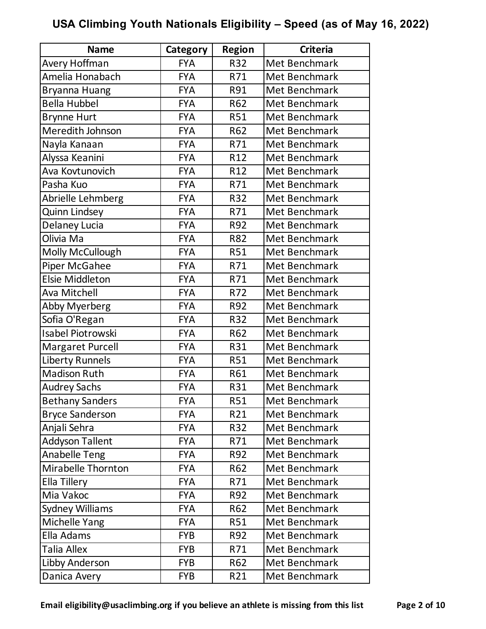| <b>Name</b>              | Category   | <b>Region</b>   | <b>Criteria</b> |
|--------------------------|------------|-----------------|-----------------|
| Avery Hoffman            | <b>FYA</b> | <b>R32</b>      | Met Benchmark   |
| Amelia Honabach          | <b>FYA</b> | R71             | Met Benchmark   |
| Bryanna Huang            | <b>FYA</b> | R91             | Met Benchmark   |
| <b>Bella Hubbel</b>      | <b>FYA</b> | R62             | Met Benchmark   |
| <b>Brynne Hurt</b>       | <b>FYA</b> | <b>R51</b>      | Met Benchmark   |
| Meredith Johnson         | <b>FYA</b> | R62             | Met Benchmark   |
| Nayla Kanaan             | <b>FYA</b> | R71             | Met Benchmark   |
| Alyssa Keanini           | <b>FYA</b> | R <sub>12</sub> | Met Benchmark   |
| Ava Kovtunovich          | <b>FYA</b> | R12             | Met Benchmark   |
| Pasha Kuo                | <b>FYA</b> | R71             | Met Benchmark   |
| Abrielle Lehmberg        | <b>FYA</b> | R32             | Met Benchmark   |
| <b>Quinn Lindsey</b>     | <b>FYA</b> | R71             | Met Benchmark   |
| Delaney Lucia            | <b>FYA</b> | R92             | Met Benchmark   |
| Olivia Ma                | <b>FYA</b> | R82             | Met Benchmark   |
| Molly McCullough         | <b>FYA</b> | <b>R51</b>      | Met Benchmark   |
| <b>Piper McGahee</b>     | <b>FYA</b> | R71             | Met Benchmark   |
| <b>Elsie Middleton</b>   | <b>FYA</b> | R71             | Met Benchmark   |
| Ava Mitchell             | <b>FYA</b> | R72             | Met Benchmark   |
| <b>Abby Myerberg</b>     | <b>FYA</b> | R92             | Met Benchmark   |
| Sofia O'Regan            | <b>FYA</b> | R32             | Met Benchmark   |
| <b>Isabel Piotrowski</b> | <b>FYA</b> | R62             | Met Benchmark   |
| Margaret Purcell         | <b>FYA</b> | R31             | Met Benchmark   |
| <b>Liberty Runnels</b>   | <b>FYA</b> | <b>R51</b>      | Met Benchmark   |
| <b>Madison Ruth</b>      | <b>FYA</b> | R61             | Met Benchmark   |
| <b>Audrey Sachs</b>      | <b>FYA</b> | R31             | Met Benchmark   |
| <b>Bethany Sanders</b>   | <b>FYA</b> | <b>R51</b>      | Met Benchmark   |
| <b>Bryce Sanderson</b>   | <b>FYA</b> | R21             | Met Benchmark   |
| Anjali Sehra             | <b>FYA</b> | R32             | Met Benchmark   |
| <b>Addyson Tallent</b>   | <b>FYA</b> | R71             | Met Benchmark   |
| <b>Anabelle Teng</b>     | <b>FYA</b> | R92             | Met Benchmark   |
| Mirabelle Thornton       | <b>FYA</b> | R62             | Met Benchmark   |
| Ella Tillery             | <b>FYA</b> | R71             | Met Benchmark   |
| Mia Vakoc                | <b>FYA</b> | R92             | Met Benchmark   |
| <b>Sydney Williams</b>   | <b>FYA</b> | R62             | Met Benchmark   |
| Michelle Yang            | <b>FYA</b> | <b>R51</b>      | Met Benchmark   |
| Ella Adams               | <b>FYB</b> | R92             | Met Benchmark   |
| <b>Talia Allex</b>       | <b>FYB</b> | R71             | Met Benchmark   |
| Libby Anderson           | <b>FYB</b> | R62             | Met Benchmark   |
| Danica Avery             | <b>FYB</b> | R21             | Met Benchmark   |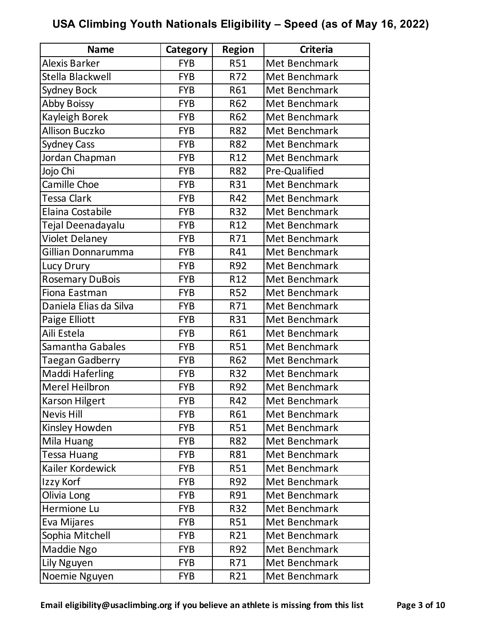| <b>Name</b>            | Category   | <b>Region</b> | <b>Criteria</b> |
|------------------------|------------|---------------|-----------------|
| Alexis Barker          | <b>FYB</b> | <b>R51</b>    | Met Benchmark   |
| Stella Blackwell       | <b>FYB</b> | R72           | Met Benchmark   |
| <b>Sydney Bock</b>     | <b>FYB</b> | R61           | Met Benchmark   |
| <b>Abby Boissy</b>     | <b>FYB</b> | R62           | Met Benchmark   |
| Kayleigh Borek         | <b>FYB</b> | R62           | Met Benchmark   |
| <b>Allison Buczko</b>  | <b>FYB</b> | <b>R82</b>    | Met Benchmark   |
| <b>Sydney Cass</b>     | <b>FYB</b> | R82           | Met Benchmark   |
| Jordan Chapman         | <b>FYB</b> | R12           | Met Benchmark   |
| Jojo Chi               | <b>FYB</b> | <b>R82</b>    | Pre-Qualified   |
| Camille Choe           | <b>FYB</b> | R31           | Met Benchmark   |
| Tessa Clark            | <b>FYB</b> | R42           | Met Benchmark   |
| Elaina Costabile       | <b>FYB</b> | R32           | Met Benchmark   |
| Tejal Deenadayalu      | <b>FYB</b> | R12           | Met Benchmark   |
| <b>Violet Delaney</b>  | <b>FYB</b> | R71           | Met Benchmark   |
| Gillian Donnarumma     | <b>FYB</b> | R41           | Met Benchmark   |
| Lucy Drury             | <b>FYB</b> | R92           | Met Benchmark   |
| <b>Rosemary DuBois</b> | <b>FYB</b> | R12           | Met Benchmark   |
| Fiona Eastman          | <b>FYB</b> | <b>R52</b>    | Met Benchmark   |
| Daniela Elias da Silva | <b>FYB</b> | R71           | Met Benchmark   |
| Paige Elliott          | <b>FYB</b> | R31           | Met Benchmark   |
| Aili Estela            | <b>FYB</b> | R61           | Met Benchmark   |
| Samantha Gabales       | <b>FYB</b> | <b>R51</b>    | Met Benchmark   |
| Taegan Gadberry        | <b>FYB</b> | R62           | Met Benchmark   |
| <b>Maddi Haferling</b> | <b>FYB</b> | R32           | Met Benchmark   |
| Merel Heilbron         | <b>FYB</b> | R92           | Met Benchmark   |
| Karson Hilgert         | <b>FYB</b> | R42           | Met Benchmark   |
| <b>Nevis Hill</b>      | <b>FYB</b> | R61           | Met Benchmark   |
| Kinsley Howden         | <b>FYB</b> | <b>R51</b>    | Met Benchmark   |
| Mila Huang             | <b>FYB</b> | R82           | Met Benchmark   |
| <b>Tessa Huang</b>     | <b>FYB</b> | R81           | Met Benchmark   |
| Kailer Kordewick       | <b>FYB</b> | <b>R51</b>    | Met Benchmark   |
| Izzy Korf              | <b>FYB</b> | R92           | Met Benchmark   |
| Olivia Long            | <b>FYB</b> | R91           | Met Benchmark   |
| Hermione Lu            | <b>FYB</b> | R32           | Met Benchmark   |
| Eva Mijares            | <b>FYB</b> | <b>R51</b>    | Met Benchmark   |
| Sophia Mitchell        | <b>FYB</b> | R21           | Met Benchmark   |
| Maddie Ngo             | <b>FYB</b> | R92           | Met Benchmark   |
| Lily Nguyen            | <b>FYB</b> | R71           | Met Benchmark   |
| Noemie Nguyen          | <b>FYB</b> | R21           | Met Benchmark   |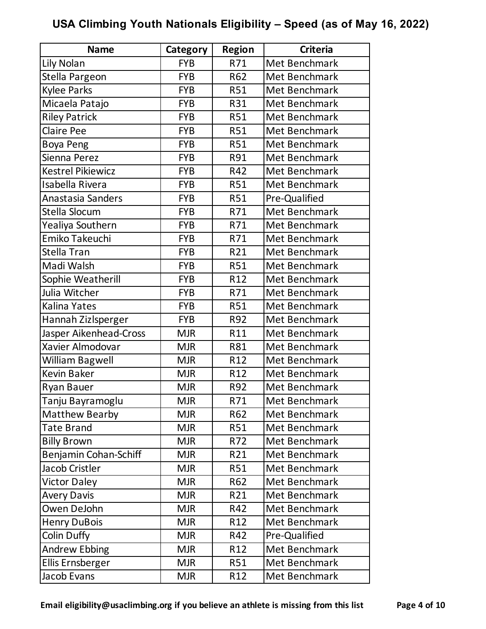| <b>Name</b>              | Category   | <b>Region</b>   | <b>Criteria</b> |
|--------------------------|------------|-----------------|-----------------|
| Lily Nolan               | <b>FYB</b> | R71             | Met Benchmark   |
| Stella Pargeon           | <b>FYB</b> | R62             | Met Benchmark   |
| <b>Kylee Parks</b>       | <b>FYB</b> | <b>R51</b>      | Met Benchmark   |
| Micaela Patajo           | <b>FYB</b> | R31             | Met Benchmark   |
| <b>Riley Patrick</b>     | <b>FYB</b> | <b>R51</b>      | Met Benchmark   |
| <b>Claire Pee</b>        | <b>FYB</b> | <b>R51</b>      | Met Benchmark   |
| <b>Boya Peng</b>         | <b>FYB</b> | <b>R51</b>      | Met Benchmark   |
| Sienna Perez             | <b>FYB</b> | R91             | Met Benchmark   |
| <b>Kestrel Pikiewicz</b> | <b>FYB</b> | R42             | Met Benchmark   |
| Isabella Rivera          | <b>FYB</b> | <b>R51</b>      | Met Benchmark   |
| Anastasia Sanders        | <b>FYB</b> | <b>R51</b>      | Pre-Qualified   |
| Stella Slocum            | <b>FYB</b> | R71             | Met Benchmark   |
| Yealiya Southern         | <b>FYB</b> | R71             | Met Benchmark   |
| Emiko Takeuchi           | <b>FYB</b> | R71             | Met Benchmark   |
| Stella Tran              | <b>FYB</b> | R21             | Met Benchmark   |
| Madi Walsh               | <b>FYB</b> | <b>R51</b>      | Met Benchmark   |
| Sophie Weatherill        | <b>FYB</b> | R12             | Met Benchmark   |
| Julia Witcher            | <b>FYB</b> | R71             | Met Benchmark   |
| Kalina Yates             | <b>FYB</b> | <b>R51</b>      | Met Benchmark   |
| Hannah Zizlsperger       | <b>FYB</b> | R92             | Met Benchmark   |
| Jasper Aikenhead-Cross   | <b>MJR</b> | R11             | Met Benchmark   |
| Xavier Almodovar         | <b>MJR</b> | <b>R81</b>      | Met Benchmark   |
| William Bagwell          | <b>MJR</b> | R12             | Met Benchmark   |
| <b>Kevin Baker</b>       | <b>MJR</b> | R12             | Met Benchmark   |
| <b>Ryan Bauer</b>        | <b>MJR</b> | R92             | Met Benchmark   |
| Tanju Bayramoglu         | <b>MJR</b> | R71             | Met Benchmark   |
| <b>Matthew Bearby</b>    | <b>MJR</b> | R62             | Met Benchmark   |
| <b>Tate Brand</b>        | <b>MJR</b> | <b>R51</b>      | Met Benchmark   |
| <b>Billy Brown</b>       | <b>MJR</b> | R72             | Met Benchmark   |
| Benjamin Cohan-Schiff    | <b>MJR</b> | R21             | Met Benchmark   |
| Jacob Cristler           | <b>MJR</b> | <b>R51</b>      | Met Benchmark   |
| <b>Victor Daley</b>      | <b>MJR</b> | R62             | Met Benchmark   |
| <b>Avery Davis</b>       | <b>MJR</b> | R21             | Met Benchmark   |
| Owen DeJohn              | <b>MJR</b> | R42             | Met Benchmark   |
| <b>Henry DuBois</b>      | <b>MJR</b> | R12             | Met Benchmark   |
| <b>Colin Duffy</b>       | <b>MJR</b> | R42             | Pre-Qualified   |
| <b>Andrew Ebbing</b>     | <b>MJR</b> | R <sub>12</sub> | Met Benchmark   |
| Ellis Ernsberger         | <b>MJR</b> | <b>R51</b>      | Met Benchmark   |
| Jacob Evans              | <b>MJR</b> | R12             | Met Benchmark   |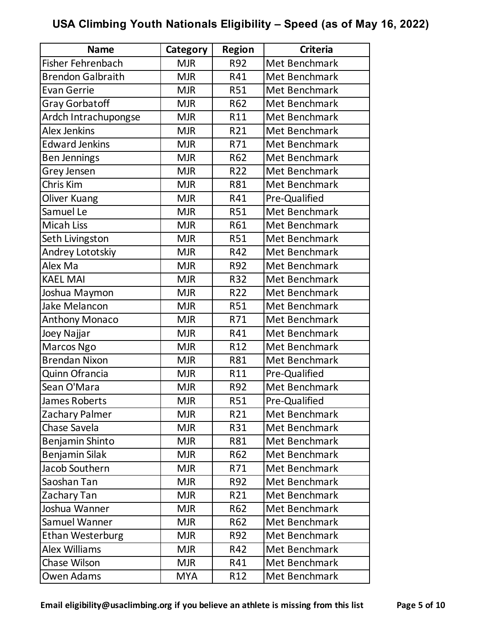| <b>Name</b>              | Category   | <b>Region</b> | <b>Criteria</b> |
|--------------------------|------------|---------------|-----------------|
| <b>Fisher Fehrenbach</b> | <b>MJR</b> | R92           | Met Benchmark   |
| <b>Brendon Galbraith</b> | <b>MJR</b> | R41           | Met Benchmark   |
| <b>Evan Gerrie</b>       | <b>MJR</b> | <b>R51</b>    | Met Benchmark   |
| <b>Gray Gorbatoff</b>    | <b>MJR</b> | R62           | Met Benchmark   |
| Ardch Intrachupongse     | <b>MJR</b> | R11           | Met Benchmark   |
| Alex Jenkins             | <b>MJR</b> | R21           | Met Benchmark   |
| <b>Edward Jenkins</b>    | <b>MJR</b> | R71           | Met Benchmark   |
| <b>Ben Jennings</b>      | <b>MJR</b> | R62           | Met Benchmark   |
| Grey Jensen              | <b>MJR</b> | R22           | Met Benchmark   |
| Chris Kim                | <b>MJR</b> | R81           | Met Benchmark   |
| <b>Oliver Kuang</b>      | <b>MJR</b> | R41           | Pre-Qualified   |
| Samuel Le                | <b>MJR</b> | <b>R51</b>    | Met Benchmark   |
| <b>Micah Liss</b>        | <b>MJR</b> | R61           | Met Benchmark   |
| Seth Livingston          | <b>MJR</b> | <b>R51</b>    | Met Benchmark   |
| Andrey Lototskiy         | <b>MJR</b> | R42           | Met Benchmark   |
| Alex Ma                  | <b>MJR</b> | R92           | Met Benchmark   |
| <b>KAEL MAI</b>          | <b>MJR</b> | R32           | Met Benchmark   |
| Joshua Maymon            | <b>MJR</b> | R22           | Met Benchmark   |
| Jake Melancon            | <b>MJR</b> | R51           | Met Benchmark   |
| Anthony Monaco           | <b>MJR</b> | R71           | Met Benchmark   |
| Joey Najjar              | <b>MJR</b> | R41           | Met Benchmark   |
| Marcos Ngo               | <b>MJR</b> | R12           | Met Benchmark   |
| <b>Brendan Nixon</b>     | <b>MJR</b> | R81           | Met Benchmark   |
| Quinn Ofrancia           | <b>MJR</b> | R11           | Pre-Qualified   |
| Sean O'Mara              | <b>MJR</b> | R92           | Met Benchmark   |
| James Roberts            | <b>MJR</b> | <b>R51</b>    | Pre-Qualified   |
| Zachary Palmer           | <b>MJR</b> | R21           | Met Benchmark   |
| Chase Savela             | <b>MJR</b> | R31           | Met Benchmark   |
| Benjamin Shinto          | <b>MJR</b> | R81           | Met Benchmark   |
| Benjamin Silak           | <b>MJR</b> | R62           | Met Benchmark   |
| Jacob Southern           | <b>MJR</b> | R71           | Met Benchmark   |
| Saoshan Tan              | <b>MJR</b> | R92           | Met Benchmark   |
| Zachary Tan              | <b>MJR</b> | R21           | Met Benchmark   |
| Joshua Wanner            | <b>MJR</b> | R62           | Met Benchmark   |
| Samuel Wanner            | <b>MJR</b> | R62           | Met Benchmark   |
| <b>Ethan Westerburg</b>  | <b>MJR</b> | R92           | Met Benchmark   |
| <b>Alex Williams</b>     | <b>MJR</b> | R42           | Met Benchmark   |
| Chase Wilson             | <b>MJR</b> | R41           | Met Benchmark   |
| Owen Adams               | <b>MYA</b> | R12           | Met Benchmark   |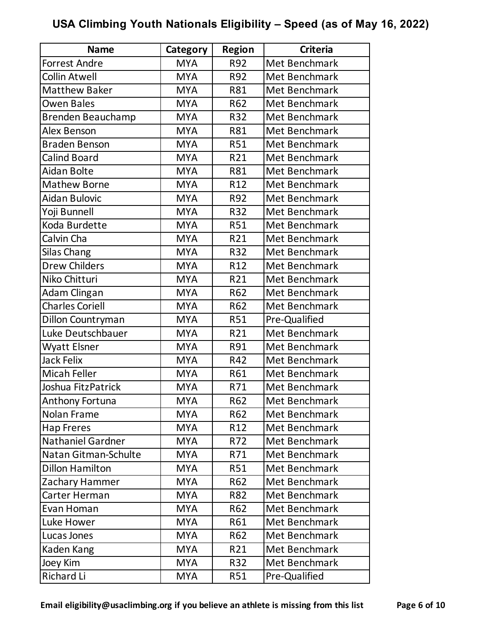| <b>Name</b>              | Category   | <b>Region</b>   | <b>Criteria</b> |
|--------------------------|------------|-----------------|-----------------|
| <b>Forrest Andre</b>     | <b>MYA</b> | R92             | Met Benchmark   |
| <b>Collin Atwell</b>     | <b>MYA</b> | R92             | Met Benchmark   |
| <b>Matthew Baker</b>     | <b>MYA</b> | R81             | Met Benchmark   |
| Owen Bales               | <b>MYA</b> | R62             | Met Benchmark   |
| <b>Brenden Beauchamp</b> | <b>MYA</b> | R32             | Met Benchmark   |
| <b>Alex Benson</b>       | <b>MYA</b> | R81             | Met Benchmark   |
| <b>Braden Benson</b>     | <b>MYA</b> | <b>R51</b>      | Met Benchmark   |
| <b>Calind Board</b>      | <b>MYA</b> | R21             | Met Benchmark   |
| Aidan Bolte              | <b>MYA</b> | <b>R81</b>      | Met Benchmark   |
| <b>Mathew Borne</b>      | <b>MYA</b> | R12             | Met Benchmark   |
| <b>Aidan Bulovic</b>     | <b>MYA</b> | R92             | Met Benchmark   |
| Yoji Bunnell             | <b>MYA</b> | R32             | Met Benchmark   |
| Koda Burdette            | <b>MYA</b> | <b>R51</b>      | Met Benchmark   |
| Calvin Cha               | <b>MYA</b> | R21             | Met Benchmark   |
| <b>Silas Chang</b>       | <b>MYA</b> | <b>R32</b>      | Met Benchmark   |
| <b>Drew Childers</b>     | <b>MYA</b> | R12             | Met Benchmark   |
| Niko Chitturi            | <b>MYA</b> | R21             | Met Benchmark   |
| Adam Clingan             | <b>MYA</b> | R62             | Met Benchmark   |
| <b>Charles Coriell</b>   | <b>MYA</b> | R62             | Met Benchmark   |
| Dillon Countryman        | <b>MYA</b> | <b>R51</b>      | Pre-Qualified   |
| Luke Deutschbauer        | <b>MYA</b> | R21             | Met Benchmark   |
| <b>Wyatt Elsner</b>      | <b>MYA</b> | R91             | Met Benchmark   |
| Jack Felix               | <b>MYA</b> | R42             | Met Benchmark   |
| Micah Feller             | <b>MYA</b> | R61             | Met Benchmark   |
| Joshua FitzPatrick       | <b>MYA</b> | R71             | Met Benchmark   |
| Anthony Fortuna          | <b>MYA</b> | R62             | Met Benchmark   |
| Nolan Frame              | <b>MYA</b> | <b>R62</b>      | Met Benchmark   |
| <b>Hap Freres</b>        | <b>MYA</b> | R <sub>12</sub> | Met Benchmark   |
| <b>Nathaniel Gardner</b> | <b>MYA</b> | R72             | Met Benchmark   |
| Natan Gitman-Schulte     | <b>MYA</b> | R71             | Met Benchmark   |
| <b>Dillon Hamilton</b>   | <b>MYA</b> | R51             | Met Benchmark   |
| Zachary Hammer           | <b>MYA</b> | R62             | Met Benchmark   |
| Carter Herman            | <b>MYA</b> | <b>R82</b>      | Met Benchmark   |
| Evan Homan               | <b>MYA</b> | R62             | Met Benchmark   |
| Luke Hower               | <b>MYA</b> | R61             | Met Benchmark   |
| Lucas Jones              | <b>MYA</b> | R62             | Met Benchmark   |
| Kaden Kang               | <b>MYA</b> | R21             | Met Benchmark   |
| Joey Kim                 | <b>MYA</b> | R32             | Met Benchmark   |
| Richard Li               | <b>MYA</b> | <b>R51</b>      | Pre-Qualified   |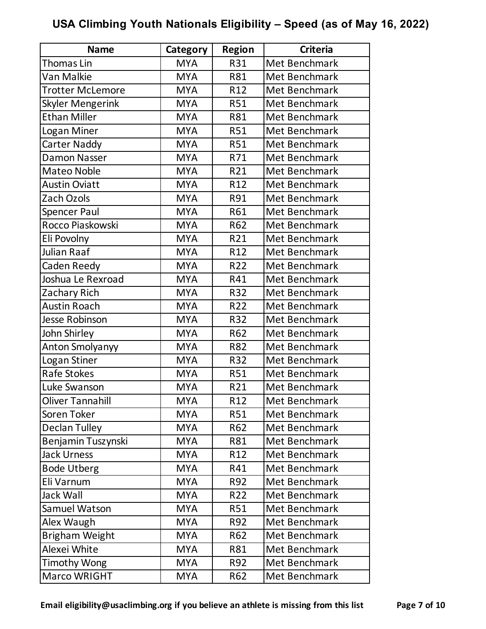| <b>Name</b>             | Category   | <b>Region</b>   | <b>Criteria</b> |
|-------------------------|------------|-----------------|-----------------|
| <b>Thomas Lin</b>       | <b>MYA</b> | R31             | Met Benchmark   |
| Van Malkie              | <b>MYA</b> | R81             | Met Benchmark   |
| <b>Trotter McLemore</b> | <b>MYA</b> | R12             | Met Benchmark   |
| <b>Skyler Mengerink</b> | <b>MYA</b> | <b>R51</b>      | Met Benchmark   |
| <b>Ethan Miller</b>     | <b>MYA</b> | R81             | Met Benchmark   |
| Logan Miner             | <b>MYA</b> | <b>R51</b>      | Met Benchmark   |
| Carter Naddy            | <b>MYA</b> | <b>R51</b>      | Met Benchmark   |
| <b>Damon Nasser</b>     | <b>MYA</b> | R71             | Met Benchmark   |
| Mateo Noble             | <b>MYA</b> | R21             | Met Benchmark   |
| <b>Austin Oviatt</b>    | <b>MYA</b> | R <sub>12</sub> | Met Benchmark   |
| Zach Ozols              | <b>MYA</b> | R91             | Met Benchmark   |
| <b>Spencer Paul</b>     | <b>MYA</b> | R61             | Met Benchmark   |
| Rocco Piaskowski        | <b>MYA</b> | R62             | Met Benchmark   |
| Eli Povolny             | <b>MYA</b> | R21             | Met Benchmark   |
| Julian Raaf             | <b>MYA</b> | R12             | Met Benchmark   |
| <b>Caden Reedy</b>      | <b>MYA</b> | R22             | Met Benchmark   |
| Joshua Le Rexroad       | <b>MYA</b> | R41             | Met Benchmark   |
| Zachary Rich            | <b>MYA</b> | R32             | Met Benchmark   |
| <b>Austin Roach</b>     | <b>MYA</b> | R22             | Met Benchmark   |
| <b>Jesse Robinson</b>   | <b>MYA</b> | R32             | Met Benchmark   |
| John Shirley            | <b>MYA</b> | R62             | Met Benchmark   |
| Anton Smolyanyy         | <b>MYA</b> | R82             | Met Benchmark   |
| Logan Stiner            | <b>MYA</b> | R32             | Met Benchmark   |
| Rafe Stokes             | <b>MYA</b> | <b>R51</b>      | Met Benchmark   |
| Luke Swanson            | <b>MYA</b> | R21             | Met Benchmark   |
| <b>Oliver Tannahill</b> | <b>MYA</b> | R12             | Met Benchmark   |
| Soren Toker             | <b>MYA</b> | <b>R51</b>      | Met Benchmark   |
| <b>Declan Tulley</b>    | <b>MYA</b> | R62             | Met Benchmark   |
| Benjamin Tuszynski      | <b>MYA</b> | R81             | Met Benchmark   |
| <b>Jack Urness</b>      | <b>MYA</b> | R <sub>12</sub> | Met Benchmark   |
| <b>Bode Utberg</b>      | <b>MYA</b> | R41             | Met Benchmark   |
| Eli Varnum              | <b>MYA</b> | R92             | Met Benchmark   |
| Jack Wall               | <b>MYA</b> | R22             | Met Benchmark   |
| Samuel Watson           | <b>MYA</b> | R51             | Met Benchmark   |
| Alex Waugh              | <b>MYA</b> | R92             | Met Benchmark   |
| <b>Brigham Weight</b>   | <b>MYA</b> | R62             | Met Benchmark   |
| Alexei White            | <b>MYA</b> | R81             | Met Benchmark   |
| <b>Timothy Wong</b>     | <b>MYA</b> | R92             | Met Benchmark   |
| Marco WRIGHT            | <b>MYA</b> | R62             | Met Benchmark   |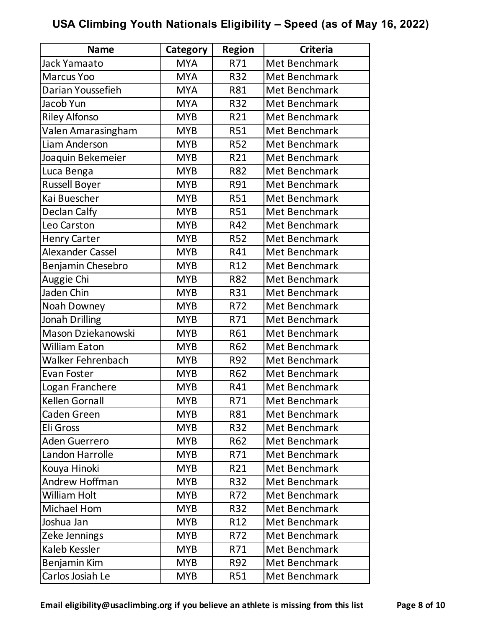| <b>Name</b>              | Category   | <b>Region</b>   | <b>Criteria</b> |
|--------------------------|------------|-----------------|-----------------|
| Jack Yamaato             | <b>MYA</b> | R71             | Met Benchmark   |
| <b>Marcus Yoo</b>        | <b>MYA</b> | R32             | Met Benchmark   |
| Darian Youssefieh        | <b>MYA</b> | R81             | Met Benchmark   |
| Jacob Yun                | <b>MYA</b> | R32             | Met Benchmark   |
| <b>Riley Alfonso</b>     | <b>MYB</b> | R21             | Met Benchmark   |
| Valen Amarasingham       | <b>MYB</b> | <b>R51</b>      | Met Benchmark   |
| Liam Anderson            | <b>MYB</b> | <b>R52</b>      | Met Benchmark   |
| Joaquin Bekemeier        | <b>MYB</b> | R21             | Met Benchmark   |
| Luca Benga               | <b>MYB</b> | <b>R82</b>      | Met Benchmark   |
| Russell Boyer            | <b>MYB</b> | R91             | Met Benchmark   |
| Kai Buescher             | <b>MYB</b> | <b>R51</b>      | Met Benchmark   |
| Declan Calfy             | <b>MYB</b> | <b>R51</b>      | Met Benchmark   |
| Leo Carston              | <b>MYB</b> | R42             | Met Benchmark   |
| <b>Henry Carter</b>      | <b>MYB</b> | <b>R52</b>      | Met Benchmark   |
| <b>Alexander Cassel</b>  | <b>MYB</b> | R41             | Met Benchmark   |
| Benjamin Chesebro        | <b>MYB</b> | R12             | Met Benchmark   |
| Auggie Chi               | <b>MYB</b> | R82             | Met Benchmark   |
| Jaden Chin               | <b>MYB</b> | R31             | Met Benchmark   |
| Noah Downey              | <b>MYB</b> | R72             | Met Benchmark   |
| Jonah Drilling           | <b>MYB</b> | R71             | Met Benchmark   |
| Mason Dziekanowski       | <b>MYB</b> | R61             | Met Benchmark   |
| <b>William Eaton</b>     | <b>MYB</b> | R62             | Met Benchmark   |
| <b>Walker Fehrenbach</b> | <b>MYB</b> | R92             | Met Benchmark   |
| <b>Evan Foster</b>       | <b>MYB</b> | R62             | Met Benchmark   |
| Logan Franchere          | <b>MYB</b> | R41             | Met Benchmark   |
| Kellen Gornall           | <b>MYB</b> | R71             | Met Benchmark   |
| Caden Green              | <b>MYB</b> | R81             | Met Benchmark   |
| Eli Gross                | <b>MYB</b> | R32             | Met Benchmark   |
| <b>Aden Guerrero</b>     | <b>MYB</b> | R62             | Met Benchmark   |
| Landon Harrolle          | <b>MYB</b> | R71             | Met Benchmark   |
| Kouya Hinoki             | <b>MYB</b> | R21             | Met Benchmark   |
| <b>Andrew Hoffman</b>    | <b>MYB</b> | R32             | Met Benchmark   |
| William Holt             | <b>MYB</b> | R72             | Met Benchmark   |
| Michael Hom              | <b>MYB</b> | R32             | Met Benchmark   |
| Joshua Jan               | <b>MYB</b> | R <sub>12</sub> | Met Benchmark   |
| Zeke Jennings            | <b>MYB</b> | R72             | Met Benchmark   |
| Kaleb Kessler            | <b>MYB</b> | R71             | Met Benchmark   |
| Benjamin Kim             | <b>MYB</b> | R92             | Met Benchmark   |
| Carlos Josiah Le         | <b>MYB</b> | <b>R51</b>      | Met Benchmark   |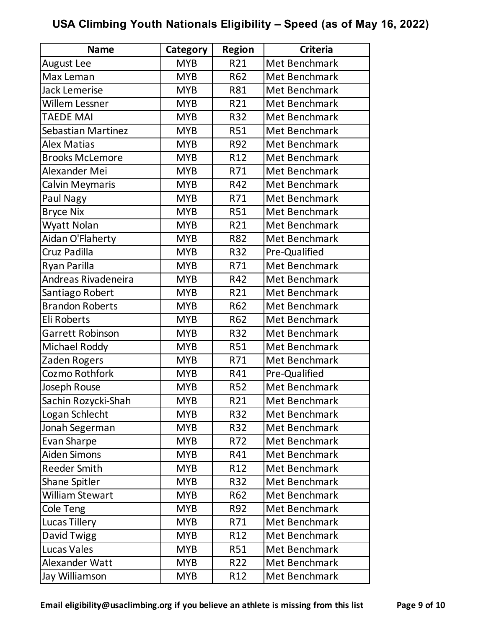| <b>Name</b>               | Category   | <b>Region</b>   | <b>Criteria</b> |
|---------------------------|------------|-----------------|-----------------|
| <b>August Lee</b>         | <b>MYB</b> | R21             | Met Benchmark   |
| Max Leman                 | <b>MYB</b> | R62             | Met Benchmark   |
| <b>Jack Lemerise</b>      | <b>MYB</b> | R81             | Met Benchmark   |
| <b>Willem Lessner</b>     | <b>MYB</b> | R21             | Met Benchmark   |
| <b>TAEDE MAI</b>          | <b>MYB</b> | R32             | Met Benchmark   |
| <b>Sebastian Martinez</b> | <b>MYB</b> | <b>R51</b>      | Met Benchmark   |
| Alex Matias               | <b>MYB</b> | R92             | Met Benchmark   |
| <b>Brooks McLemore</b>    | <b>MYB</b> | R12             | Met Benchmark   |
| Alexander Mei             | <b>MYB</b> | R71             | Met Benchmark   |
| Calvin Meymaris           | <b>MYB</b> | R42             | Met Benchmark   |
| Paul Nagy                 | <b>MYB</b> | R71             | Met Benchmark   |
| <b>Bryce Nix</b>          | <b>MYB</b> | <b>R51</b>      | Met Benchmark   |
| Wyatt Nolan               | <b>MYB</b> | R21             | Met Benchmark   |
| Aidan O'Flaherty          | <b>MYB</b> | R82             | Met Benchmark   |
| Cruz Padilla              | <b>MYB</b> | R32             | Pre-Qualified   |
| Ryan Parilla              | <b>MYB</b> | R71             | Met Benchmark   |
| Andreas Rivadeneira       | <b>MYB</b> | R42             | Met Benchmark   |
| Santiago Robert           | <b>MYB</b> | R21             | Met Benchmark   |
| <b>Brandon Roberts</b>    | <b>MYB</b> | R62             | Met Benchmark   |
| Eli Roberts               | <b>MYB</b> | R62             | Met Benchmark   |
| <b>Garrett Robinson</b>   | <b>MYB</b> | R32             | Met Benchmark   |
| Michael Roddy             | <b>MYB</b> | <b>R51</b>      | Met Benchmark   |
| Zaden Rogers              | <b>MYB</b> | R71             | Met Benchmark   |
| Cozmo Rothfork            | <b>MYB</b> | R41             | Pre-Qualified   |
| Joseph Rouse              | <b>MYB</b> | <b>R52</b>      | Met Benchmark   |
| Sachin Rozycki-Shah       | <b>MYB</b> | R21             | Met Benchmark   |
| Logan Schlecht            | <b>MYB</b> | <b>R32</b>      | Met Benchmark   |
| Jonah Segerman            | <b>MYB</b> | R32             | Met Benchmark   |
| Evan Sharpe               | <b>MYB</b> | R72             | Met Benchmark   |
| <b>Aiden Simons</b>       | <b>MYB</b> | R41             | Met Benchmark   |
| <b>Reeder Smith</b>       | <b>MYB</b> | R <sub>12</sub> | Met Benchmark   |
| <b>Shane Spitler</b>      | <b>MYB</b> | R32             | Met Benchmark   |
| William Stewart           | <b>MYB</b> | <b>R62</b>      | Met Benchmark   |
| Cole Teng                 | <b>MYB</b> | R92             | Met Benchmark   |
| <b>Lucas Tillery</b>      | <b>MYB</b> | R71             | Met Benchmark   |
| David Twigg               | <b>MYB</b> | R12             | Met Benchmark   |
| Lucas Vales               | <b>MYB</b> | <b>R51</b>      | Met Benchmark   |
| Alexander Watt            | <b>MYB</b> | R22             | Met Benchmark   |
| Jay Williamson            | <b>MYB</b> | R12             | Met Benchmark   |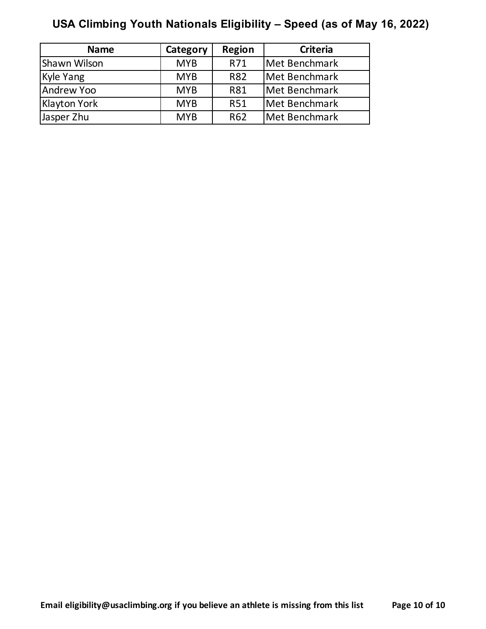| <b>Name</b>       | Category   | <b>Region</b>   | <b>Criteria</b> |
|-------------------|------------|-----------------|-----------------|
| Shawn Wilson      | <b>MYB</b> | R71             | Met Benchmark   |
| Kyle Yang         | <b>MYB</b> | <b>R82</b>      | Met Benchmark   |
| <b>Andrew Yoo</b> | <b>MYB</b> | <b>R81</b>      | Met Benchmark   |
| Klayton York      | <b>MYB</b> | <b>R51</b>      | Met Benchmark   |
| Jasper Zhu        | <b>MYB</b> | R <sub>62</sub> | Met Benchmark   |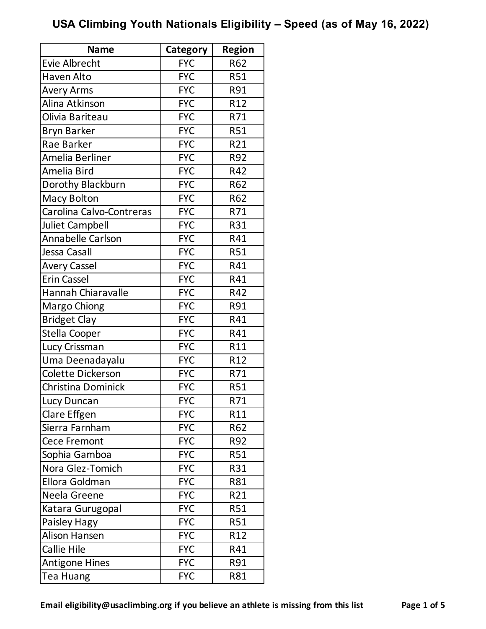| <b>Name</b>              | Category   | <b>Region</b> |
|--------------------------|------------|---------------|
| <b>Evie Albrecht</b>     | <b>FYC</b> | R62           |
| <b>Haven Alto</b>        | <b>FYC</b> | <b>R51</b>    |
| <b>Avery Arms</b>        | <b>FYC</b> | R91           |
| Alina Atkinson           | <b>FYC</b> | R12           |
| Olivia Bariteau          | <b>FYC</b> | R71           |
| <b>Bryn Barker</b>       | <b>FYC</b> | <b>R51</b>    |
| Rae Barker               | <b>FYC</b> | R21           |
| Amelia Berliner          | <b>FYC</b> | R92           |
| Amelia Bird              | <b>FYC</b> | R42           |
| Dorothy Blackburn        | <b>FYC</b> | R62           |
| <b>Macy Bolton</b>       | <b>FYC</b> | R62           |
| Carolina Calvo-Contreras | <b>FYC</b> | R71           |
| <b>Juliet Campbell</b>   | <b>FYC</b> | R31           |
| Annabelle Carlson        | <b>FYC</b> | R41           |
| Jessa Casall             | <b>FYC</b> | <b>R51</b>    |
| <b>Avery Cassel</b>      | <b>FYC</b> | R41           |
| <b>Erin Cassel</b>       | <b>FYC</b> | R41           |
| Hannah Chiaravalle       | <b>FYC</b> | R42           |
| Margo Chiong             | <b>FYC</b> | R91           |
| <b>Bridget Clay</b>      | <b>FYC</b> | R41           |
| Stella Cooper            | <b>FYC</b> | R41           |
| Lucy Crissman            | <b>FYC</b> | R11           |
| Uma Deenadayalu          | <b>FYC</b> | R12           |
| Colette Dickerson        | <b>FYC</b> | R71           |
| Christina Dominick       | <b>FYC</b> | <b>R51</b>    |
| Lucy Duncan              | <b>FYC</b> | R71           |
| Clare Effgen             | <b>FYC</b> | R11           |
| Sierra Farnham           | <b>FYC</b> | R62           |
| <b>Cece Fremont</b>      | <b>FYC</b> | R92           |
| Sophia Gamboa            | <b>FYC</b> | <b>R51</b>    |
| Nora Glez-Tomich         | <b>FYC</b> | R31           |
| Ellora Goldman           | <b>FYC</b> | R81           |
| Neela Greene             | <b>FYC</b> | R21           |
| Katara Gurugopal         | <b>FYC</b> | <b>R51</b>    |
| Paisley Hagy             | <b>FYC</b> | R51           |
| <b>Alison Hansen</b>     | <b>FYC</b> | R12           |
| Callie Hile              | <b>FYC</b> | R41           |
| <b>Antigone Hines</b>    | <b>FYC</b> | R91           |
| <b>Tea Huang</b>         | <b>FYC</b> | R81           |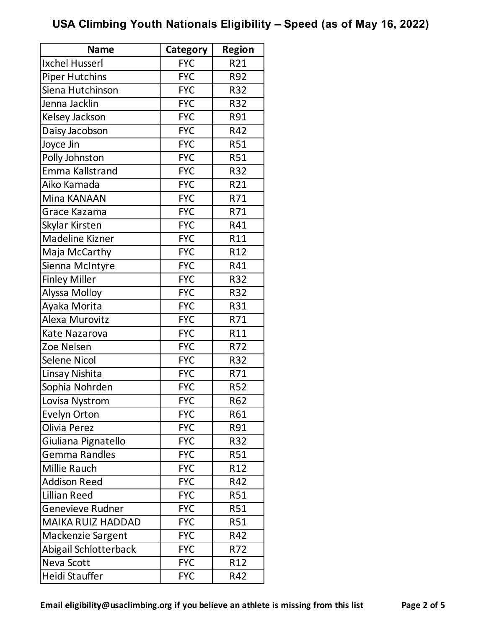| <b>Name</b>              | Category   | <b>Region</b> |
|--------------------------|------------|---------------|
| Ixchel Husserl           | <b>FYC</b> | R21           |
| <b>Piper Hutchins</b>    | <b>FYC</b> | R92           |
| Siena Hutchinson         | <b>FYC</b> | R32           |
| Jenna Jacklin            | <b>FYC</b> | R32           |
| Kelsey Jackson           | <b>FYC</b> | R91           |
| Daisy Jacobson           | <b>FYC</b> | R42           |
| Joyce Jin                | <b>FYC</b> | <b>R51</b>    |
| Polly Johnston           | <b>FYC</b> | <b>R51</b>    |
| Emma Kallstrand          | <b>FYC</b> | R32           |
| Aiko Kamada              | <b>FYC</b> | R21           |
| Mina KANAAN              | <b>FYC</b> | R71           |
| Grace Kazama             | <b>FYC</b> | R71           |
| Skylar Kirsten           | <b>FYC</b> | R41           |
| Madeline Kizner          | <b>FYC</b> | R11           |
| Maja McCarthy            | <b>FYC</b> | R12           |
| Sienna McIntyre          | <b>FYC</b> | R41           |
| <b>Finley Miller</b>     | <b>FYC</b> | <b>R32</b>    |
| Alyssa Molloy            | <b>FYC</b> | R32           |
| Ayaka Morita             | <b>FYC</b> | R31           |
| Alexa Murovitz           | <b>FYC</b> | R71           |
| Kate Nazarova            | <b>FYC</b> | R11           |
| Zoe Nelsen               | <b>FYC</b> | R72           |
| <b>Selene Nicol</b>      | <b>FYC</b> | R32           |
| Linsay Nishita           | <b>FYC</b> | R71           |
| Sophia Nohrden           | <b>FYC</b> | <b>R52</b>    |
| Lovisa Nystrom           | <b>FYC</b> | R62           |
| <b>Evelyn Orton</b>      | <b>FYC</b> | R61           |
| Olivia Perez             | <b>FYC</b> | R91           |
| Giuliana Pignatello      | <b>FYC</b> | R32           |
| Gemma Randles            | <b>FYC</b> | <b>R51</b>    |
| Millie Rauch             | <b>FYC</b> | R12           |
| <b>Addison Reed</b>      | <b>FYC</b> | R42           |
| <b>Lillian Reed</b>      | <b>FYC</b> | <b>R51</b>    |
| <b>Genevieve Rudner</b>  | <b>FYC</b> | <b>R51</b>    |
| <b>MAIKA RUIZ HADDAD</b> | <b>FYC</b> | R51           |
| Mackenzie Sargent        | <b>FYC</b> | R42           |
| Abigail Schlotterback    | <b>FYC</b> | R72           |
| Neva Scott               | <b>FYC</b> | R12           |
| Heidi Stauffer           | <b>FYC</b> | R42           |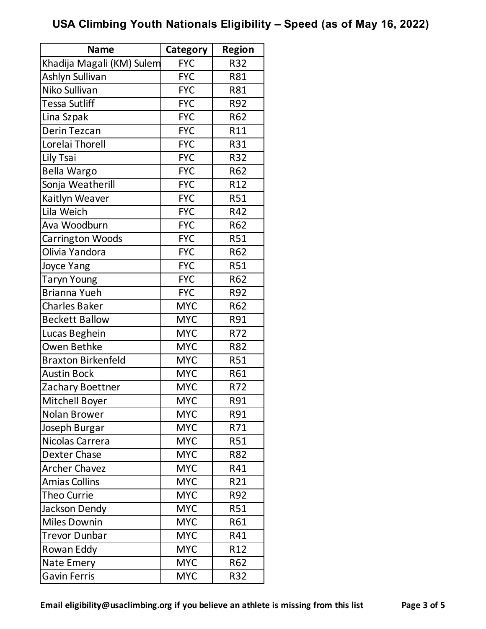| <b>Name</b>               | Category   | <b>Region</b> |
|---------------------------|------------|---------------|
| Khadija Magali (KM) Sulem | <b>FYC</b> | R32           |
| Ashlyn Sullivan           | <b>FYC</b> | R81           |
| Niko Sullivan             | <b>FYC</b> | R81           |
| Tessa Sutliff             | <b>FYC</b> | R92           |
| Lina Szpak                | <b>FYC</b> | R62           |
| <b>Derin Tezcan</b>       | <b>FYC</b> | R11           |
| Lorelai Thorell           | <b>FYC</b> | R31           |
| Lily Tsai                 | <b>FYC</b> | R32           |
| <b>Bella Wargo</b>        | <b>FYC</b> | R62           |
| Sonja Weatherill          | <b>FYC</b> | R12           |
| Kaitlyn Weaver            | <b>FYC</b> | <b>R51</b>    |
| Lila Weich                | <b>FYC</b> | R42           |
| Ava Woodburn              | <b>FYC</b> | R62           |
| <b>Carrington Woods</b>   | <b>FYC</b> | <b>R51</b>    |
| Olivia Yandora            | <b>FYC</b> | <b>R62</b>    |
| Joyce Yang                | <b>FYC</b> | <b>R51</b>    |
| <b>Taryn Young</b>        | <b>FYC</b> | R62           |
| <b>Brianna Yueh</b>       | <b>FYC</b> | R92           |
| <b>Charles Baker</b>      | <b>MYC</b> | R62           |
| <b>Beckett Ballow</b>     | <b>MYC</b> | R91           |
| Lucas Beghein             | <b>MYC</b> | R72           |
| <b>Owen Bethke</b>        | <b>MYC</b> | R82           |
| <b>Braxton Birkenfeld</b> | <b>MYC</b> | <b>R51</b>    |
| <b>Austin Bock</b>        | <b>MYC</b> | R61           |
| Zachary Boettner          | <b>MYC</b> | R72           |
| Mitchell Boyer            | <b>MYC</b> | R91           |
| Nolan Brower              | <b>MYC</b> | R91           |
| Joseph Burgar             | <b>MYC</b> | R71           |
| Nicolas Carrera           | <b>MYC</b> | <b>R51</b>    |
| Dexter Chase              | <b>MYC</b> | R82           |
| <b>Archer Chavez</b>      | <b>MYC</b> | R41           |
| <b>Amias Collins</b>      | <b>MYC</b> | R21           |
| <b>Theo Currie</b>        | <b>MYC</b> | R92           |
| Jackson Dendy             | <b>MYC</b> | <b>R51</b>    |
| <b>Miles Downin</b>       | <b>MYC</b> | R61           |
| <b>Trevor Dunbar</b>      | <b>MYC</b> | R41           |
| Rowan Eddy                | <b>MYC</b> | R12           |
| Nate Emery                | <b>MYC</b> | R62           |
| Gavin Ferris              | <b>MYC</b> | R32           |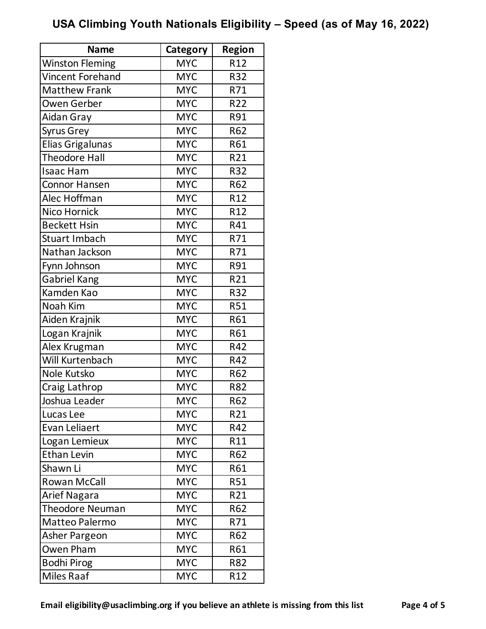| <b>Name</b>             | Category   | <b>Region</b>   |
|-------------------------|------------|-----------------|
| <b>Winston Fleming</b>  | <b>MYC</b> | R12             |
| <b>Vincent Forehand</b> | <b>MYC</b> | R32             |
| <b>Matthew Frank</b>    | <b>MYC</b> | R71             |
| <b>Owen Gerber</b>      | <b>MYC</b> | R22             |
| Aidan Gray              | <b>MYC</b> | R91             |
| Syrus Grey              | <b>MYC</b> | R62             |
| Elias Grigalunas        | <b>MYC</b> | R61             |
| <b>Theodore Hall</b>    | <b>MYC</b> | R21             |
| <b>Isaac Ham</b>        | <b>MYC</b> | R32             |
| <b>Connor Hansen</b>    | <b>MYC</b> | R62             |
| Alec Hoffman            | <b>MYC</b> | R12             |
| Nico Hornick            | <b>MYC</b> | R12             |
| <b>Beckett Hsin</b>     | <b>MYC</b> | R41             |
| Stuart Imbach           | <b>MYC</b> | R71             |
| Nathan Jackson          | <b>MYC</b> | R71             |
| Fynn Johnson            | <b>MYC</b> | R91             |
| <b>Gabriel Kang</b>     | <b>MYC</b> | R21             |
| Kamden Kao              | <b>MYC</b> | R32             |
| Noah Kim                | <b>MYC</b> | <b>R51</b>      |
| Aiden Krajnik           | <b>MYC</b> | R61             |
| Logan Krajnik           | <b>MYC</b> | R61             |
| Alex Krugman            | <b>MYC</b> | R42             |
| Will Kurtenbach         | <b>MYC</b> | R42             |
| Nole Kutsko             | <b>MYC</b> | R62             |
| Craig Lathrop           | <b>MYC</b> | <b>R82</b>      |
| Joshua Leader           | <b>MYC</b> | R62             |
| Lucas Lee               | <b>MYC</b> | R21             |
| Evan Leliaert           | <b>MYC</b> | R42             |
| Logan Lemieux           | <b>MYC</b> | R11             |
| <b>Ethan Levin</b>      | <b>MYC</b> | R62             |
| Shawn Li                | <b>MYC</b> | R61             |
| <b>Rowan McCall</b>     | <b>MYC</b> | <b>R51</b>      |
| Arief Nagara            | <b>MYC</b> | R21             |
| Theodore Neuman         | <b>MYC</b> | R62             |
| Matteo Palermo          | <b>MYC</b> | R71             |
| Asher Pargeon           | <b>MYC</b> | R62             |
| Owen Pham               | <b>MYC</b> | R61             |
| <b>Bodhi Pirog</b>      | <b>MYC</b> | R82             |
| Miles Raaf              | <b>MYC</b> | R <sub>12</sub> |